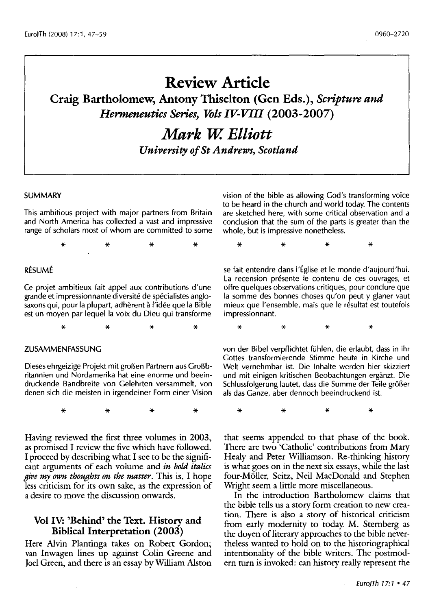## **Review Article**

**Craig Bartholomew, Antony Thiselton (Gen Eds.),** *Scripture and Hermeneutics Series, This IV-VIII* **(2003-2007)** 

# *Mark W. Elliott*

*University of St Andrews, Scotland* 

#### SUMMARY

This ambitious project with major partners from Britain and North America has collected a vast and impressive range of scholars most of whom are committed to some

\* \* \* \*

#### RESUME

Ce projet ambitieux fait appel aux contributions d'une grande et impressionnante diversite de specialistes anglosaxons qui, pour la plupart, adhèrent à l'idée que la Bible est un moyen par lequel la voix du Dieu qui transforme

\* \* \* \*

#### ZUSAMMENFASSUNG

Dieses ehrgeizige Projekt mit großen Partnern aus Großbritannien und Nordamerika hat eine enorme und beeindruckende Bandbreite von Gelehrten versammelt, von denen sich die meisten in irgendeiner Form einer Vision

\* \* \* \*

Having reviewed the first three volumes in 2003, as promised I review the five which have followed. I proceed by describing what I see to be the significant arguments of each volume and *in bold italics give my own thoughts on the matter.* This is, I hope less criticism for its own sake, as the expression of a desire to move the discussion onwards.

#### **Vol IV: 'Behind' the Text. History and Biblical Interpretation (2003)**

Here Alvin Plantinga takes on Robert Gordon; van Inwagen lines up against Colin Greene and Joel Green, and there is an essay by William Alston vision of the bible as allowing God's transforming voice to be heard in the church and world today. The contents are sketched here, with some critical observation and a conclusion that the sum of the parts is greater than the whole, but is impressive nonetheless.

\* \* \* \*

se fait entendre dans I'Eglise et le monde d'aujourd'hui. La recension présente le contenu de ces ouvrages, et offre quelques observations critiques, pour conclure que la somme des bonnes choses qu'on peut y glaner vaut mieux que l'ensemble, mais que le résultat est toutefois impressionnant.

\* \* \* \*

von der Bibel verpflichtet fuhlen, die erlaubt, dass in ihr Gottes transformierende Stimme heute in Kirche und Welt vernehmbar ist. Die lnhalte werden hier skizziert und mit einigen kritischen Beobachtungen erganzt. Die Schlussfolgerung lautet, dass die Summe der Teile größer als das Ganze, aber dennoch beeindruckend ist.

\* \* \* \*

that seems appended to that phase of the book. There are two 'Catholic' contributions from Mary Healy and Peter Williamson. Re-thinking history is what goes on in the next six essays, while the last four-Möller, Seitz, Neil MacDonald and Stephen Wright seem a little more miscellaneous.

In the introduction Bartholomew claims that the bible tells us a story form creation to new creation. There is also a story of historical criticism from early modernity to today. M. Sternberg as the doyen of literary approaches to the bible nevertheless wanted to hold on to the historiographical intentionality of the bible writers. The postmodern turn is invoked: can history really represent the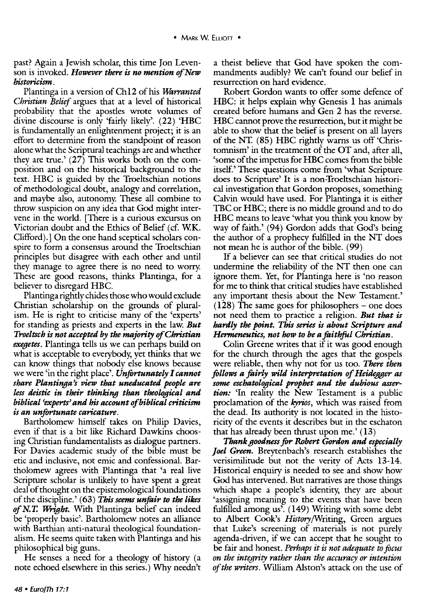#### past? Again a Jewish scholar, this time Jon Levenson is invoked. *However there is no mention of New historicism.*

Plantinga in a version of Ch12 of his *Warranted Christian Belief* argues that at a level of historical probability that the apostles wrote volumes of divine discourse is only 'fairly likely'. (22) 'HBC is fundamentally an enlightenment project; it is an effort to determine from the standpoint of reason alone what the Scriptural teachings are and whether they are true.' (27) This works both on the composition and on the historical background to the text. HBC is guided by the Troeltschian notions of methodological doubt, analogy and correlation, and maybe also, autonomy. These all combine to throw suspicion on any idea that God might intervene in the world. [There is a curious excursus on Victorian doubt and the Ethics of Belief (cf. WK. Clifford).] On the one hand sceptical scholars conspire to form a consensus around the Troeltschian principles but disagree with each other and until they manage to agree there is no need to worry. These are good reasons, thinks Plantinga, for a believer to disregard HBC.

Plantinga rightly chides those who would exclude Christian scholarship on the grounds of pluralism. He is right to criticise many of the 'experts' for standing as priests and experts in the law. *But Troeltsch is not accepted by the majority of Christian exegetes.* Plantinga tells us we can perhaps build on what is acceptable to everybody, yet thinks that we can know things that nobody else knows because we were 'in the right place'. *Unfortunately I cannot share Plantinga's view that uneducated people are less deistic in their thinking than theological and biblical 'experts' and his account of biblical criticism is an unfortunate caricature.* 

Bartholomew himself takes on Philip Davies, even if that is a bit like Richard Dawkins choosing Christian fundamentalists as dialogue partners. For Davies academic study of the bible must be etic and inclusive, not emic and confessional. Bartholomew agrees with Plantinga that 'a real live Scripture scholar is unlikely to have spent a great deal of thought on the epistemological foundations of the discipline.' ( 63) This *seems unfair to the likes of N. T. Wright.* With Plantinga belief can indeed be 'properly basic'. Bartholomew notes an alliance with Barthian anti-natural theological foundationalism. He seems quite taken with Plantinga and his philosophical big guns.

He senses a need for a theology of history (a note echoed elsewhere in this series.) Why needn't a theist believe that God have spoken the commandments audibly? We can't found our belief in resurrection on hard evidence.

Robert Gordon wants to offer some defence of HBC: it helps explain why Genesis 1 has animals created before humans and Gen 2 has the reverse. HBC cannot prove the resurrection, but it might be able to show that the belief is present on all layers of the NT. ( 85) HBC rightly warns us off 'Christomnism' in the treatment of the OT and, after all, 'some of the impetus for HBC comes from the bible itself.' These questions come from 'what Scripture does to Scripture' It is a non-Troeltschian historical investigation that Gordon proposes, something Calvin would have used. For Plantinga it is either TBC or HBC; there is no middle ground and to do HBC means to leave 'what you think you know by way of faith.' (94) Gordon adds that God's being the author of a prophecy fulfilled in the NT does not mean he is author of the bible. (99)

If a believer can see that critical studies do not undermine the reliability of the NT then one can ignore them. Yet, for Plantinga here is 'no reason for me to think that critical studies have established any important thesis about the New Testament.'  $(128)$  The same goes for philosophers – one does not need them to practice a religion. *But that is hardly the point. This series is about &ripture and Hermeneutics, not how to be a faithful Christian.* 

Colin Greene writes that if it was good enough for the church through the ages that the gospels were reliable, then why not for us too. *There then follows a fairly wild interpretation of Heidegger as some eschatological prophet and the dubious assertion:* 'In reality the New Testament is a public proclamation of the *kyrios,* which was raised from the dead. Its authority is not located in the historicity of the events it describes but in the eschaton that has already been thrust upon me.' (13)

*Thank goodness* for *Robert* Gordon *and especially ]oel Green.* Breytenbach's research establishes the verisimilitude but not the verity of Acts 13-14. Historical enquiry is needed to see and show how God has intervened. But narratives are those things which shape a people's identity, they are about 'assigning meaning to the events that have been fulfilled among us'. (149) Writing with some debt to Albert Cook's History/Writing, Green argues that Luke's screening of materials is not purely agenda -driven, if we can accept that he sought to be fair and honest. *Perhaps it is not adequate to focus on the integrity rather than the accuracy or intention of the writers.* William Alston's attack on the use of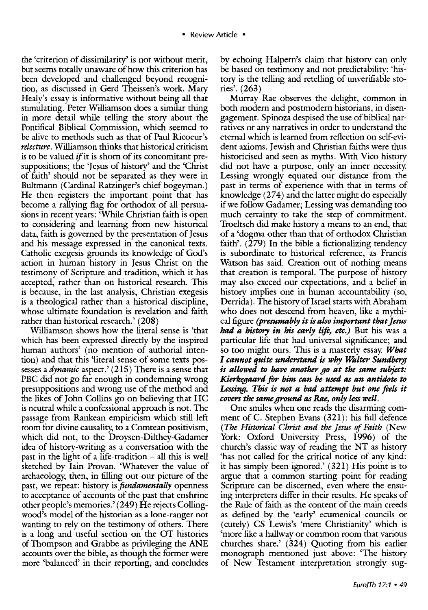the 'criterion of dissimilarity' is not without merit, but seems totally unaware of how this criterion has been developed and challenged beyond recognition, as discussed in Gerd Theissen's work. Mary Healy's essay is informative without being all that stimulating. Peter Williamson does a similar thing in more detail while telling the story about the Pontifical Biblical Commission, which seemed to be alive to methods such as that of Paul Ricoeur's *relecture.* Williamson thinks that historical criticism is to be valued if it is shorn of its concomitant presuppositions; the 'Jesus of history' and the 'Christ of faith' should not be separated as they were in Bultmann (Cardinal Ratzinger's chief bogeyman.) He then registers the important point that has become a rallying flag for orthodox of all persuasions in recent years: 'While Christian faith is open to considering and learning from new historical data, faith is governed by the presentation of Jesus and his message expressed in the canonical texts. Catholic exegesis grounds its knowledge of God's action in human history in Jesus Christ on the testimony of Scripture and tradition, which it has accepted, rather than on historical research. This is because, in the last analysis, Christian exegesis is a theological rather than a historical discipline, whose ultimate foundation is revelation and faith rather than historical research.' (208)

Williamson shows how the literal sense is 'that which has been expressed directly by the inspired human authors' (no mention of authorial intention) and that this 'literal sense of some texts possesses *adynamic* aspect.' (215) There is a sense that PBC did not go far enough in condemning wrong presuppositions and wrong use of the method and the likes of John Collins go on believing that HC is neutral while a confessional approach is not. The passage from Rankean empiricism which still left room for divine causality, to a Comtean positivism, which did not, to the Droysen-Dilthey-Gadamer idea of history-writing as a conversation with the past in the light of a life-tradition  $-$  all this is well sketched by lain Provan. 'Whatever the value of archaeology; then, in filling out our picture of the past, we repeat: history is *fundamentally* openness to acceptance of accounts of the past that enshrine other people's memories.' (249) He rejects Collingwood's model of the historian as a lone-ranger not wanting to rely on the testimony of others. There is a long and useful section on the OT histories of Thompson and Grabbe as privileging the ANE accounts over the bible, as though the former were more 'balanced' in their reporting, and concludes

by echoing Halpern's claim that history can only be based on testimony and not predictability: 'history is the telling and retelling of unverifiable stories'. (263)

Murray Rae observes the delight, common in both modern and postmodern historians, in disengagement. Spinoza despised the use of biblical narratives or any narratives in order to understand the eternal which is learned from reflection on self-evident axioms. Jewish and Christian faiths were thus historicised and seen as myths. With Vico history did not have a purpose, only an inner necessity. Lessing wrongly equated our distance from the past in terms of experience with that in terms of knowledge  $(274)$  and the latter might do especially if we follow Gadamer; Lessing was demanding too much certainty to take the step of commitment. Troeltsch did make history a means to an end, that of a 'dogma other than that of orthodox Christian faith'.  $(279)$  In the bible a fictionalizing tendency is subordinate to historical reference, as Francis Watson has said. Creation out of nothing means that creation is temporal. The purpose of history may also exceed our expectations, and a belief in history implies one in human accountability (so, Derrida). The history of Israel starts with Abraham who does not descend from heaven, like a mythical figure *(presumably it* is *also important that Jesus had a history in his early lift, etc.)* But his was a particular life that had universal significance; and so too might ours. This is a masterly essay. *What I cannot quite understand* is *why Waiter Sundberg*  is *allowed to have another go at the same subject: Kierkegaard for him can be used as an antidote to Lessing. This is not a bad attempt but one feels it covers the same ground as Rae, only less well.* 

One smiles when one reads the disarming comment of C. Stephen Evans (321): his full defence *(The Historical Christ and the Jesus of Faith* (New York: Oxford University Press, 1996) of the church's classic way of reading the NT as history 'has not called for the critical notice of any kind: it has simply been ignored.' (321) His point is to argue that a common starting point for reading Scripture can be discerned, even where the ensuing interpreters differ in their results. He speaks of the Rule of faith as the content of the main creeds as defined by the 'early' ecumenical councils or (cutely) CS Lewis's 'mere Christianity' which is 'more like a hallway or common room that various churches share.' (324) Quoting from his earlier monograph mentioned just above: 'The history of New Testament interpretation strongly sug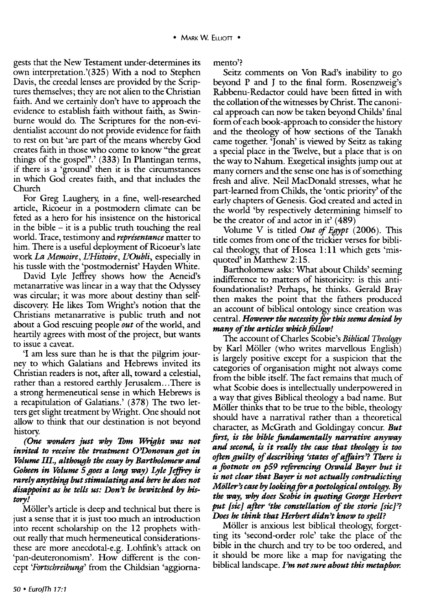gests that the New Testament under-determines its own interpretation.'(325) With a nod to Stephen Davis, the creedal lenses are provided by the Scriptures themselves; they are not alien to the Christian faith. And we certainly don't have to approach the evidence to establish faith without faith, as Swinburne would do. The Scriptures for the non-evidentialist account do not provide evidence for faith to rest on but 'are part of the means whereby God creates faith in those who come to know "the great things of the gospel".' (333) In Plantingan terms, if there is a 'ground' then it is the circumstances in which God creates faith, and that includes the Church

For Greg Laughery, in a fine, well-researched article, Ricoeur in a postmodern climate can be feted as a hero for his insistence on the historical in the bible  $-$  it is a public truth touching the real world. Trace, testimony and *representance* matter to him. There is a useful deployment of Ricoeur's late work *La Memoire, IlHistoire, IlOubli,* especially in his tussle with the 'postmodernist' Hayden White.

David Lyle Jeffrey shows how the Aeneid's metanarrative was linear in a way that the Odyssey was circular; it was more about destiny than selfdiscovery. He likes Tom Wright's notion that the Christians metanarrative is public truth and not about a God rescuing people *out* of the world, and heartily agrees with most of the project, but wants to issue a caveat.

'I am less sure than he is that the pilgrim journey to which Galatians and Hebrews invited its Christian readers is not, after all, toward a celestial, rather than a restored earthly Jerusalem...There is a strong hermeneutical sense in which Hebrews is a recapitulation of Galatians.' (378) The two letters get slight treatment by Wright. One should not allow to think that our destination is not beyond history.

*(One wonders just why Tom Wright was not invited to receive the treatment O'Donovan got in Volume* Ill., *although the essay by Bartholomew and Goheen in Volume 5 goes a long way*) *Lyle Jeffrey is rarely anything but stimulating and here he does not disappoint as he tells us: Don't be bewitched by history!* 

Möller's article is deep and technical but there is just a sense that it is just too much an introduction into recent scholarship on the 12 prophets without really that much hermeneutical considerationsthese are more anecdotal-e.g. Lohfink's attack on 'pan-deuteronomism'. How different is the concept *'Fortschreibung'* from the Childsian 'aggiornamento?

Seitz comments on Von Rad's inability to go beyond P and J to the final form. Rosenzweig's Rabbenu-Redactor could have been fitted in with the collation of the witnesses by Christ. The canonical approach can now be taken beyond Childs' final form of each book-approach to consider the history and the theology of how sections of the Tanakh came together. 'Jonah' is viewed by Seitz as taking a special place in the Twelve, but a place that is on the way to Nahum. Exegetical insights jump out at many corners and the sense one has is of something fresh and alive. Neil MacDonald stresses, what he part-learned from Childs, the 'ontic priority' of the early chapters of Genesis. God created and acted in the world 'by respectively determining himself to be the creator of and actor in it'  $(489)$ 

Volume V is titled *Out of Egypt* (2006). This title comes from one of the trickier verses for biblical theology, that of Hosea 1: 11 which gets 'misquoted' in Matthew 2:15.

Bartholomew asks: What about Childs' seeming indifference to matters of historicity: is this antifoundationalist? Perhaps, he thinks. Gerald Bray then makes the point that the fathers produced an account of biblical ontology since creation was central. *However the necessity for this seems denied by many of the articles which follow!* 

The account of Charles Scobie's *Biblical Theology*  by Karl Möller (who writes marvellous English) is largely positive except for a suspicion that the categories of organisation might not always come from the bible itself. The fact remains that much of what Scobie does is intellectually underpowered in a way that gives Biblical theology a bad name. But Möller thinks that to be true to the bible, theology should have a narratival rather than a theoretical character, as McGrath and Goldingay concur. *But first, is the bible fundamentally narrative anyway and second, is it really the case that theology is too often guilty of describing 'states of affairs'? There is a footnote on p59 reftrencing Oswald Bayer but it is not clear that Bayer is not actually contradicting Mol/er's case by looking for a poetological ontology. By the way, why does Scobie in quoting George Herbert put [sic] after 'the constellation of the storie [sic]'? Does he think that Herbert didn't know to spell?* 

Möller is anxious lest biblical theology, forgetting its 'second-order role' take the place of the bible in the church and try to be too ordered, and it should be more like a map for navigating the biblical landscape. *I'm not sure about this metaphor.*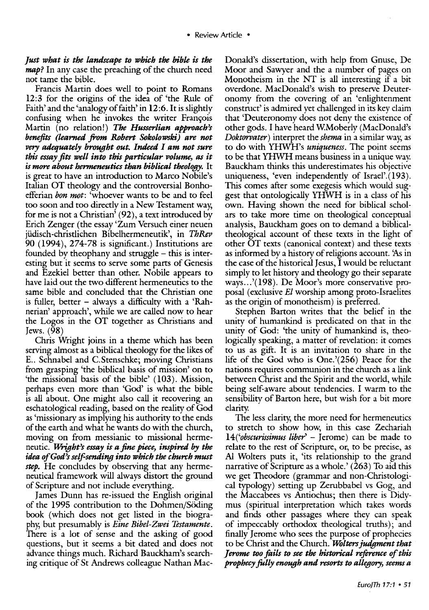*Just what is the landscape to which the bible* is *the map?* In any case the preaching of the church need not tame the bible.

Francis Martin does well to point to Romans 12:3 for the origins of the idea of 'the Rule of Faith' and the 'analogy of faith' in 12:6. It is slightly confusing when he invokes the writer François Martin (no relation!) *The Husserlian approach's benefits (learned from Robert Sokolowski) are not*  very *adequately brought out. Indeed I am not sure this essay fits well into this particular volume, as it is* more *about hermeneutics than biblical theology.* It is great to have an introduction to Marco Nobile's Italian OT theology and the controversial Bonhoefferian *bon mot:* 'whoever wants to be and to feel too soon and too directly in a New Testament way, for me is not a Christian' (92), a text introduced by Erich Zenger (the essay 'Zum Versuch einer neuen jiidisch-christlichen Bibelhermeneutik', in *ThRev*  90 (1994), 274-78 is significant.) Institutions are founded by the ophany and struggle  $-$  this is interesting but it seems to serve some parts of Genesis and Ezekiel better than other. Nobile appears to have laid out the two different hermeneutics to the same bible and concluded that the Christian one is fuller, better  $-$  always a difficulty with a 'Rahnerian' approach', while we are called now to hear the Logos in the OT together as Christians and Jews. (98)

Chris Wright joins in a theme which has been serving almost as a biblical theology for the likes of E.. Schnabel and C.Stenschke; moving Christians from grasping 'the biblical basis of mission' on to 'the missional basis of the bible' (103). Mission, perhaps even more than 'God' is what the bible is all about. One might also call it recovering an eschatological reading, based on the reality of God as 'missionary as implying his authority to the ends of the earth and what he wants do with the church, moving on from messianic to missional hermeneutic. *Wright's essay* is *a fine piece, inspired by the idea of God's self-sending into which the church must step.* He concludes by observing that any hermeneutical framework will always distort the ground of Scripture and not include everything.

James Dunn has re-issued the English original of the 1995 contribution to the Dohmen/Söding book (which does not get listed in the biography, but presumably is *Eine Bibel-Zwei Testamente.*  There is a lot of sense and the asking of good questions, but it seems a bit dated and does not advance things much. Richard Bauckham's searching critique of St Andrews colleague Nathan MacDonald's dissertation, with help from Gnuse, De Moor and Sawyer and the a number of pages on Monotheism in the NT is all interesting if a bit overdone. MacDonald's wish to preserve Deuteronomy from the covering of an 'enlightenment construct' is admired yet challenged in its key claim that 'Deuteronomy does not deny the existence of other gods. I have heard W.Moberly (MacDonald's *Doktorvater)* interpret the *shema* in a similar way, as to do with YHWH's *uniqueness.* The point seems to be that YHWH means business in a unique way. Bauckham thinks this underestimates his objective uniqueness, 'even independently of Israel'.(193). This comes after some exegesis which would suggest that ontologically YHWH is in a class of his own. Having shown the need for biblical scholars to take more time on theological conceptual analysis, Bauckham goes on to demand a biblicaltheological account of these texts in the light of other OT texts (canonical context) and these texts as informed by a history of religions account. 'As in the case of the historical Jesus, I would be reluctant simply to let history and theology go their separate ways .. .'(198). De Moor's more conservative proposal (exclusive *El* worship among proto-Israelites as the origin of monotheism) is preferred.

Stephen Barton writes that the belief in the unity of humankind is predicated on that in the unity of God: 'the unity of humankind is, theologically speaking, a matter of revelation: it comes to us as gift. It is an invitation to share in the life of the God who is One.'(256) Peace for the nations requires communion in the church as a link between Christ and the Spirit and the world, while being self-aware about tendencies. I warm to the sensibility of Barton here, but wish for a bit more clarity.

The less clarity, the more need for hermeneutics to stretch to show how, in this case Zechariah 14(*'obscurissimus liber'* – Jerome) can be made to relate to the rest of Scripture, or, to be precise, as Al Wolters puts it, 'its relationship to the grand narrative of Scripture as a whole.' ( 263) To aid this we get Theodore (grammar and non-Christological typology) setting up Zerubbabel vs Gog, and the Maccabees vs Antiochus; then there is Didymus (spiritual interpretation which takes words and finds other passages where they can speak of impeccably orthodox theological truths); and finally Jerome who sees the purpose of prophecies to be Christ and the Church. Wolters judgment that *] erome too foils to see the historical reference of this prophecy fully enough and resorts to allegory, seems a*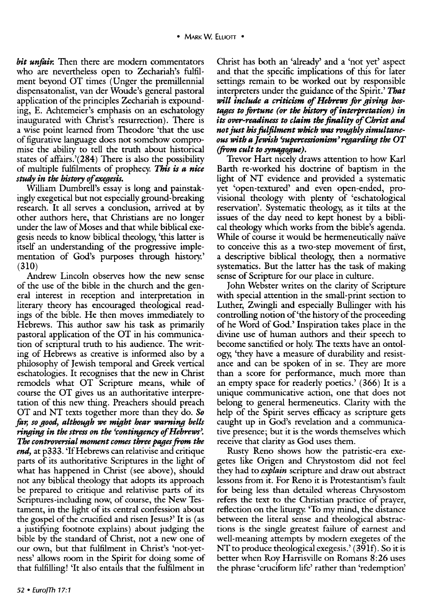*bit unfair.* Then there are modern commentators who are nevertheless open to Zechariah's fulfilment beyond OT times (Unger the premillennial dispensatonalist, van der Woude's general pastoral application of the principles Zechariah is expounding, E. Achtemeier's emphasis on an eschatology inaugurated with Christ's resurrection). There is a wise point learned from Theodore 'that the use of figurative language does not somehow compromise the ability to tell the truth about historical states of affairs.'(284) There is also the possibility of multiple fulfilments of prophecy. *This is a nice study in the history of exegesis.* 

William Dumbrell's essay is long and painstakingly exegetical but not especially ground-breaking research. It all serves a conclusion, arrived at by other authors here, that Christians are no longer under the law of Moses and that while biblical exegesis needs to know biblical theology, 'this latter is itself an understanding of the progressive implementation of God's purposes through history.' (310)

Andrew Lincoln observes how the new sense of the use of the bible in the church and the general interest in reception and interpretation in literary theory has encouraged theological readings of the bible. He then moves immediately to Hebrews. This author saw his task as primarily pastoral application of the OT in his communication of scriptural truth to his audience. The writing of Hebrews as creative is informed also by a philosophy of Jewish temporal and Greek vertical eschatologies. It recognises that the new in Christ remodels what OT Scripture means, while of course the OT gives us an authoritative interpretation of this new thing. Preachers should preach OT and NT texts together more than they do. So *for, so good, although* we *might hear warning bells ringing in the stress on the 'contingency of Hebrews'. The controversial moment comes three pages from the end,* at p333. 'If Hebrews can relativise and critique parts of its authoritative Scriptures in the light of what has happened in Christ (see above), should not any biblical theology that adopts its approach be prepared to critique and relativise parts of its Scriptures-including now, of course, the New Testament, in the light of its central confession about the gospel of the crucified and risen Jesus?' It is (as a justifying footnote explains) about judging the bible by the standard of Christ, not a new one of our own, but that fulfilment in Christ's 'not-yetness' allows room in the Spirit for doing some of that fulfilling! 'It also entails that the fulfilment in

Christ has both an 'already' and a 'not yet' aspect and that the specific implications of this for later settings remain to be worked out by responsible interpreters under the guidance of the Spirit.' *That will include a criticism* of *Hebrews* for *giving hostages to fortune (or the history of interpretation) in its over-readiness to claim the finality of Christ and not just his fulfilment which was roughly simultaneous with a Jewish 'supercessionism' regarding the OT (from cult to synagogue).* 

Trevor Hart nicely draws attention to how Karl Barth re-worked his doctrine of baptism in the light of NT evidence and provided a systematic yet 'open-textured' and even open-ended, provisional theology with plenty of 'eschatological reservation'. Systematic theology, as it tilts at the issues of the day need to kept honest by a biblical theology which works from the bible's agenda. While of course it would be hermeneutically naïve to conceive this as a two-step movement of first, a descriptive biblical theology, then a normative systematics. But the latter has the task of making sense of Scripture for our place in culture.

John Webster writes on the clarity of Scripture with special attention in the small-print section to Luther, Zwingli and especially Bullinger with his controlling notion of'the history of the proceeding of he Word of God.' Inspiration takes place in the divine use of human authors and their speech to become sanctified or holy. The texts have an ontology, 'they have a measure of durability and resistance and can be spoken of in se. They are more than a score for performance, much more than an empty space for readerly poetics.' (366) It is a unique communicative action, one that does not belong to general hermeneutics. Clarity with the help of the Spirit serves efficacy as scripture gets caught up in God's revelation and a communicative presence; but it is the words themselves which receive that clarity as God uses them.

Rusty Reno shows how the patristic-era exegetes like Origen and Chrystostom did not feel they had to *explain* scripture and draw out abstract lessons from it. For Reno it is Protestantism's fault for being less than detailed whereas Chrysostom refers the text to the Christian practice of prayer, reflection on the liturgy. 'To my mind, the distance between the literal sense and theological abstractions is the single greatest failure of earnest and well-meaning attempts by modem exegetes of the NT to produce theological exegesis.' (39lf). So it is better when Roy Harrisville on Romans 8:26 uses the phrase 'cruciform life' rather than 'redemption'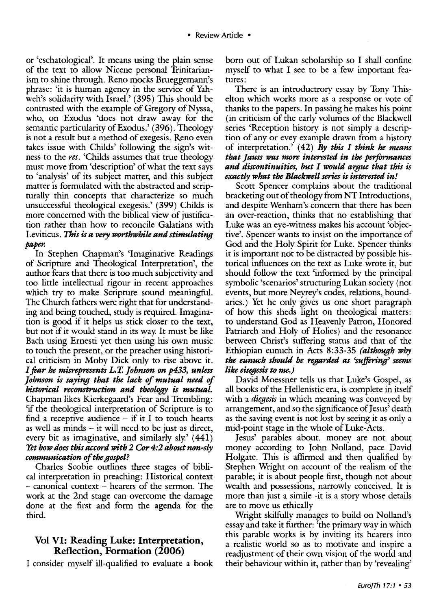or 'eschatological'. It means using the plain sense of the text to allow Nicene personal Trinitarianism to shine through. Reno mocks Brueggemann's phrase: 'it is human agency in the service of Yahweh's solidarity with Israel.' (395) This should be contrasted with the example of Gregory of Nyssa, who, on Exodus 'does not draw away for the semantic particularity of Exodus.' ( 396). Theology is not a result but a method of exegesis. Reno even takes issue with Childs' following the sign's witness to the *res.* 'Childs assumes that true theology must move from 'description' of what the text says to 'analysis' of its subject matter, and this subject matter is formulated with the abstracted and scriprurally thin concepts that characterize so much unsuccessful theological exegesis.' (399) Childs is more concerned with the biblical view of justification rather than how to reconcile Galatians with Leviticus. *This is a very worthwhile and stimulating paper.* 

In Stephen Chapman's 'Imaginative Readings of Scripture and Theological Interpretation', the author fears that there is too much subjectivity and too little intellectual rigour in recent approaches which try to make Scripture sound meaningful. The Church fathers were right that for understanding and being touched, study is required. Imagination is good if it helps us stick closer to the text, but not if it would stand in its way. It must be like Bach using Ernesti yet then using his own music to touch the present, or the preacher using historical criticism in Moby Dick only to rise above it. *I fear he misrepresents L. T. ]ohnson on p433, unless ]ohnson is saying that the lack of mutual need of historical reconstruction and theology is mutual.*  Chapman likes Kierkegaard's Fear and Trembling: 'if the theological interpretation of Scripture is to find a receptive audience  $-$  if it I to touch hearts as well as minds - it will need to be just as direct, every bit as imaginative, and similarly sly.  $(441)$ *Yet how does this accord with 2 Cor 4:2 about non-sly communication of the gospel?* 

Charles Scobie outlines three stages of biblical interpretation in preaching: Historical context - canonical context - hearers of the sermon. The work at the 2nd stage can overcome the damage done at the first and form the agenda for the third.

#### Vol VI: Reading Luke: Interpretation, Reflection, Formation (2006)

I consider myself ill-qualified to evaluate a book

born out of Lukan scholarship so I shall confine myself to what I see to be a few important features:

There is an introductrory essay by Tony Thiselton which works more as a response or vote of thanks to the papers. In passing he makes his point (in criticism of the early volumes of the Blackwell series 'Reception history is not simply a description of any or evey example drawn from a history of interpretation.' ( 42) *By this I think he means that ]auss was more interested in the performances and discontinuities, but* I *would a'llfue that this is exactly what the Blackwell series is interested in!* 

Scott Spencer complains about the traditional bracketing out of theology from NT Introductions, and despite Wenham's concern that there has been an over-reaction, thinks that no establishing that Luke was an eye-witness makes his account 'objective'. Spencer wants to insist on the importance of God and the Holy Spirit for Luke. Spencer thinks it is important not to be distracted by possible historical influences on the text as Luke wrote it, but should follow the text 'informed by the principal symbolic 'scenarios' structuring Lukan society (not events, but more Neyrey's codes, relations, boundaries.) Yet he only gives us one short paragraph of how this sheds light on theological matters: to understand God as Heavenly Patron, Honored Patriarch and Holy of Holies) and the resonance between Christ's suffering status and that of the Ethiopian eunuch in Acts 8:33-35 *(although why the eunuch should be regarded as 'suffering' seems like eisegesis to me.)* 

David Moessner tells us that Luke's Gospel, as all books of the Hellenistic era, is complete in itself with a *diegesis* in which meaning was conveyed by arrangement, and so the significance of Jesus' death as the saving event is not lost by seeing it as only a mid-point stage in the whole of Luke-Acts.

Jesus' parables about. money are not about money according to John Nolland, pace David Holgate. This is affirmed and then qualified by Stephen Wright on account of the realism of the parable; it is about people first, though not about wealth and possessions, narrowly conceived. It is more than just a simile -it is a story whose details are to move us ethically

Wright skilfully manages to build on Nolland's essay and take it further: 'the primary way in which this parable works is by inviting its hearers into a realistic world so as to motivate and inspire a readjustment of their own vision of the world and their behaviour within it, rather than by 'revealing'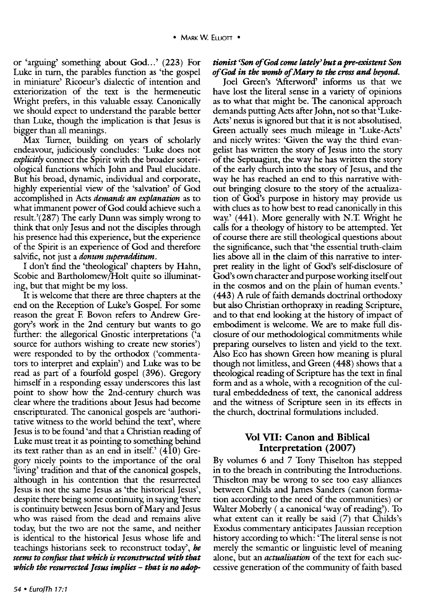or 'arguing' something about God...' (223) For Luke in turn, the parables function as 'the gospel in miniature' Ricoeur's dialectic of intention and exteriorization of the text is the hermeneutic Wright prefers, in this valuable essay. Canonically we should expect to understand the parable better than Luke, though the implication is that Jesus is bigger than all meanings.

Max Turner, building on years of scholarly endeavour, judiciously concludes: 'Luke does not *explicitly* connect the Spirit with the broader soteriological functions which John and Paul elucidate. But his broad, dynamic, individual and corporate, highly experiential view of the 'salvation' of God accomplished in Acts *demands an explanation* as to what immanent power of God could achieve such a result.'(287) The early Dunn was simply wrong to think that only Jesus and not the disciples through his presence had this experience, but the experience of the Spirit is an experience of God and therefore salvific, not just a *donum superadditum.* 

I don't find the 'theological' chapters by Hahn, Scobie and Bartholomew/Holt quite so illuminating, but that might be my loss.

It is welcome that there are three chapters at the end on the Reception of Luke's Gospel. For some reason the great F. Bovon refers to Andrew Gregory's work in the 2nd century but wants to go further: the allegorical Gnostic interpretations ('a source for authors wishing to create new stories') were responded to by the orthodox ('commentators to interpret and explain') and Luke was to be read as part of a fourfold gospel (396). Gregory himself in a responding essay underscores this last point to show how the 2nd-century church was clear where the traditions about Jesus had become enscripturated. The canonical gospels are 'authoritative witness to the world behind the text', where Jesus is to be found 'and that a Christian reading of Luke must treat it as pointing to something behind its text rather than as an end in itself.'  $(410)$  Gregory nicely points to the importance of the oral 'living' tradition and that of the canonical gospels, although in his contention that the resurrected Jesus is not the same Jesus as 'the historical Jesus', despite there being some continuity, in saying 'there is continuity between Jesus born of Mary and Jesus who was raised from the dead and remains alive today, but the two are not the same, and neither is identical to the historical Jesus whose life and teachings historians seek to reconstruct today', *he seems to confose that which* is *reconstructed with that which the resurrected Jesus implies- that* is *no adop-*

#### tionist <Son *of God come* lately~ *but a pre-existent Son of God in the* womb *of Mary to the cross and beyond.*

Joel Green's 'Afterword' informs us that we have lost the literal sense in a variety of opinions as to what that might be. The canonical approach demands putting Acts after John, not so that 'Luke-Acts' nexus is ignored but that it is not absolutised. Green actually sees much mileage in 'Luke-Acts' and nicely writes: 'Given the way the third evangelist has written the story of Jesus into the story of the Septuagint, the way he has written the story of the early church into the story of Jesus, and the way he has reached an end to this narrative without bringing closure to the story of the actualization of God's purpose in history may provide us with clues as to how best to read canonically in this way.' (441). More generally with N.T. Wright he calls for a theology of history to be attempted. Yet of course there are still theological questions about the significance, such that 'the essential truth-claim lies above all in the claim of this narrative to interpret reality in the light of God's self-disclosure of God's own character and purpose working itself out in the cosmos and on the plain of human events.' ( 443) A rule of faith demands doctrinal orthodoxy but also Christian orthopraxy in reading Scripture, and to that end looking at the history of impact of embodiment is welcome. We are to make full disclosure of our methodological commitments while preparing ourselves to listen and yield to the text. Also Eco has shown Green how meaning is plural though not limitless, and Green ( 448) shows that a theological reading of Scripture has the text in final form and as a whole, with a recognition of the cultural embeddedness of text, the canonical address and the witness of Scripture seen in its effects in the church, doctrinal formulations included.

#### Vol VII: Canon and Biblical Interpretation (2007)

By volumes 6 and 7 Tony Thiselton has stepped in to the breach in contributing the Introductions. Thiselton may be wrong to see too easy alliances between Childs and James Sanders (canon formation according to the need of the communities) or Waiter Moberly ( a canonical 'way of reading'). To what extent can it really be said (7) that Childs's Exodus commentary anticipates Jaussian reception history according to which: 'The literal sense is not merely the semantic or linguistic level of meaning alone, but an *actualisation* of the text for each successive generation of the community of faith based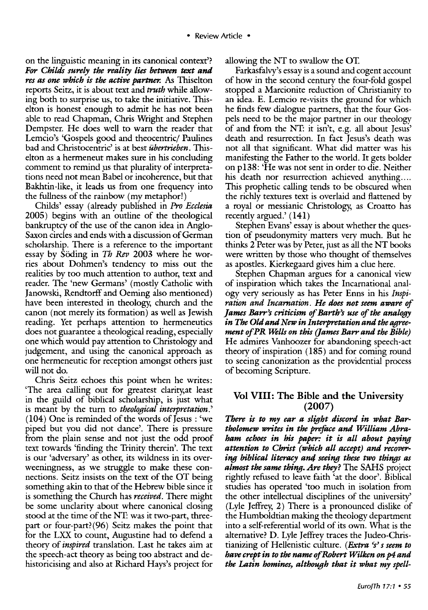on the linguistic meaning in its canonical context'? *For Childs surely the reality lies between text and res* as *one which is the active partner. As* Thiselton reports Seitz, it is about text and *truth* while allowing both to surprise us, to take the initiative. Thiselton is honest enough to admit he has not been able to read Chapman, Chris Wright and Stephen Dempster. He does well to warn the reader that Lemcio's 'Gospels good and theocentric/ Paulines bad and Christocentric' is at best *iibertrieben.* Thiselton as a hermeneut makes sure in his concluding comment to remind *ps* that plurality of interpretations need not mean Babel or incoherence, but that Bakhtin-like, it leads us from one frequency into the fullness of the rainbow (my metaphor!)

Childs' essay (already published in *Pro Ecclesia*  2005) begins with an outline of the theological bankruptcy of the use of the canon idea in Anglo-Saxon circles and ends with a discussion of German scholarship. There is a reference to the important essay by Söding in *Th Rev* 2003 where he worries about Dohmen's tendency to miss out the realities by too much attention to author, text and reader. The 'new Germans' (mostly Catholic with Janowski, Rendtorff and Oerning also mentioned) have been interested in theology, church and the canon (not merely its formation) as well as Jewish reading. Yet perhaps attention to hermeneutics does not guarantee a theological reading, especially one which would pay attention to Christology and judgement, and using the canonical approach as one hermeneutic for reception amongst others just will not do.

Chris Seitz echoes this point when he writes: 'The area calling out for greatest clarity,at least in the guild of biblical scholarship, is just what is meant by the turn to *theological interpretation.'*  ( 104) One is reminded of the words of Jesus : 'we piped but you did not dance'. There is pressure from the plain sense and not just the odd proof text towards 'finding the Trinity therein'. The text is our 'adversary' as other, its wildness in its overweeningness, as we struggle to make these connections. Seitz insists on the text of the OT being something akin to that of the Hebrew bible since it is something the Church has *received.* There might be some unclarity about where canonical dosing stood at the time of the NT: was it two-part, threepart or four-part?(96) Seitz makes the point that for the LXX to count, Augustine had to defend a theory of *inspired* translation. Last he takes aim at the speech-act theory as being too abstract and dehistoricising and also at Richard Rays's project for

allowing the NT to swallow the OT.

Farkasfalvy's essay is a sound and cogent account of how in the second century the four-fold gospel stopped a Marcionite reduction of Christianity to an idea. E. Lemcio re-visits the ground for which he finds few dialogue partners, that the four Gospels need to be the major partner in our theology of and from the NT: it isn't, e.g. all about Jesus' death and resurrection. In fact Jesus's death was not all that significant. What did matter was his manifesting the Father to the world. It gets bolder on pl38: 'He was not sent in order to die. Neither his death nor resurrection achieved anything.... This prophetic calling tends to be obscured when the richly textures text is overlaid and flattened by a royal or messianic Christology, as Croatto has recently argued.' (141)

Stephen Evans' essay is about whether the question of pseudonymity matters very much. But he thinks 2 Peter was by Peter, just as all the NT books were written by those who thought of themselves as apostles. Kierkegaard gives him a clue here.

Stephen Chapman argues for a canonical view of inspiration which takes the Incarnational analogy very seriously as has Peter Enns in his *Inspiration and Incarnation. He does not seem aware of ]ames Barr's criticism of Barth's use of the analogy in The Old and New in Interpretation and the agreement of PR Wells on this (James Barr and the Bible)* He admires Vanhoozer for abandoning speech-act theory of inspiration  $(185)$  and for coming round to seeing canonization as the providential process of becoming Scripture.

#### Vol VIII: The Bible and the University (2007)

*There is to my ear a slight discord in what Bartholomew writes in the preface and William Abraham echoes in his paper: it is all about paying attention to Christ (which all accept) and recovering biblical literacy anti seeing these two things as almost the same thing. Are they?* The SAHS project rightly refused to leave faith 'at the door'. Biblical studies has operated 'too much in isolation from the other intellectual disciplines of the university' (Lyle Jeffrey, 2) There is a pronounced dislike of the Humboldtian making the theology department into a self-referential world of its own. What is the alternative? D. Lyle Jeffrey traces the Judeo-Christianizing of Hellenistic culture. *(Extra 's' s seem to have crept in to the name ofRobert Wilken on* p4 *and the Latin homines, although that it what my spell-*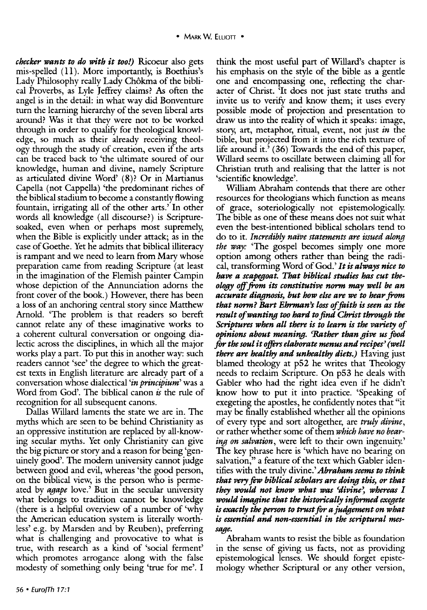*checker wants to do with it too!)* Ricoeur also gets mis-spelled  $(11)$ . More importantly, is Boethius's Lady Philosophy really Lady Chôkma of the biblical Proverbs, as Lyle Jeffrey claims? As often the angel is in the detail: in what way did Bonventure turn the learning hierarchy of the seven liberal arts around? Was it that they were not to be worked through in order to qualify for theological knowledge, so much as their already receiving theology through the study of creation, even if the arts can be traced back to 'the ultimate soured of our knowledge, human and divine, namely Scripture as articulated divine Word' ( 8)? Or in Martianus Capella (not Cappella) 'the predominant riches of the biblical stadium to become a constantly flowing fountain, irrigating all of the other arts.' In other words all knowledge (all discourse?) is Scripturesoaked, even when or perhaps most supremely, when the Bible is explicitly under attack; as in the case of Goethe. Yet he admits that biblical illiteracy is rampant and we need to learn from Mary whose preparation came from reading Scripture (at least in the imagination of the Flemish painter Campin whose depiction of the Annunciation adorns the front cover of the book.) However, there has been a loss of an anchoring central story since Matthew Arnold. 'The problem is that readers so bereft cannot relate any of these imaginative works to a coherent cultural conversation or ongoing dialectic across the disciplines, in which all the major works play a part. To put this in another way: such readers cannot 'see' the degree to which the greatest texts in English literature are already part of a conversation whose dialectical *'in principium'* was a Word from God'. The biblical canon *is* the rule of recognition for all subsequent canons.

Dallas Willard laments the state we are in. The myths which are seen to be behind Christianiry as an oppressive institution are replaced by all-knowing secular myths. Yet only Christianity can give the big picture or story and a reason for being 'genuinely good'. The modern university cannot judge between good and evil, whereas 'the good person, on the biblical view, is the person who is permeated by *agape* love.' But in the secular university what belongs to tradition cannot be knowledge (there is a helpful overview of a number of 'why the American education system is literally worthless' e.g. by Marsden and by Reuben), preferring what is challenging and provocative to what is true, with research as a kind of 'social ferment' which promotes arrogance along with the false modesty of something only being 'true for me'. I

think the most useful part of Willard's chapter is his emphasis on the style of the bible as a gentle one and encompassing one, reflecting the character of Christ. 'It does not just state truths and invite us to verify and know them; it uses every possible mode of projection and presentation to draw us into the reality of which it speaks: image, story, art, metaphor, ritual, event, not just *in* the bible, but projected from it into the rich texture of life around it.' ( 36) Towards the end of this paper, Willard seems to oscillate between claiming all for Christian truth and realising that the latter is not 'scientific knowledge'.

William Abraham contends that there are other resources for theologians which function as means of grace, soteriologically not epistemologically The bible as one of these means does not suit what even the best-intentioned biblical scholars tend to do to it. *Incredibly naive statements are issued along the way:* 'The gospel becomes simply one more option among others rather than being the radical, transforming Word of God.' *It* is *always nice to have a scapegoat. That biblical studies has cut theology off .from its constitutive norm may well be an*  accurate diagnosis, but how else are we to hear from *that norm? Bart Ehrman's loss of foith* is *seen as the result of wanting too hard to find Christ through the Scriptures when all there is to learn is the variety of opinions about meaning. 'Rather than give us food*  for *the soul it offirs elaborate menus and recipes' (well there are healthy and unhealthy diets.)* Having just blamed theology at p52 he writes that Theology needs to reclaim Scripture. On p53 he deals with Gabler who had the right idea even if he didn't know how to put it into practice. 'Speaking of exegeting the apostles, he confidently notes that "it may be finally established whether all the opinions of every type and sort altogether, are *truly divine,*  or rather whether some of them *which have no bearing on salvation,* were left to their own ingenuity' The key phrase here is 'which have no bearing on salvation," a feature of the text which Gabler identifies with the truly divine.' *Abraham seems to think that* very few *biblical scholars are doing this, or that they would not know what was 'divine'*, whereas I *would imagine that the historically informed exegete*  is exactly the person to trust for a judgement on what *is essential and non-essential in the scriptural message.* 

Abraham wants to resist the bible as foundation in the sense of giving us facts, not as providing epistemological lenses. We should forget epistemology whether Scriptural or any other version,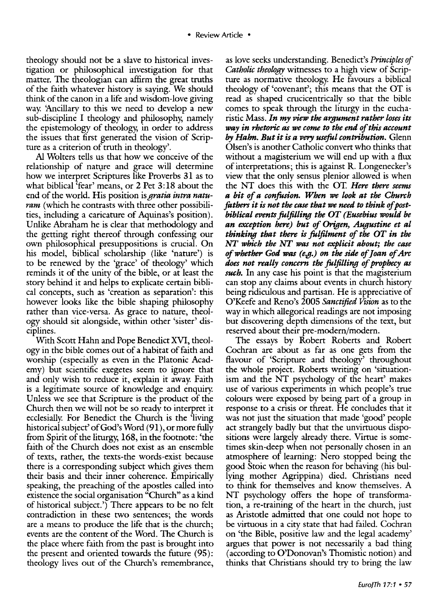theology should not be a slave to historical investigation or philosophical investigation for that matter. The theologian can affirm the great truths of the faith whatever history is saying. We should think of the canon in a life and wisdom-love giving way. 'Ancillary to this we need to develop a new sub-discipline I theology and philosophy, namely the epistemology of theology, in order to address the issues that first generated the vision of Scripture as a criterion of truth in theology'.

Al Wolters tells us that how we conceive of the relationship of nature and grace will determine how we interpret Scriptures like Proverbs 31 as to what biblical 'fear' means, or 2 Pet 3: 18 about the end of the world. His position is *gratia intra naturam* (which he contrasts with three other possibilities, including a caricature of Aquinas's position). Unlike Abraham he is clear that methodology and the getting right thereof through confessing our own philosophical presuppositions is crucial. On his model, biblical scholarship (like 'nature') is to be renewed by the 'grace' of theology' which reminds it of the unity of the bible, or at least the story behind it and helps to explicate certain biblical concepts, such as 'creation as separation': this however looks like the bible shaping philosophy rather than vice-versa. As grace to nature, theology should sit alongside, within other 'sister' disciplines.

With Scott Hahn and Pope Benedict XVI, theology in the bible comes out of a habitat of faith and worship (especially as even in the Platonic Academy) but scientific exegetes seem to ignore that and only wish to reduce it, explain it away. Faith is a legitimate source of knowledge and enquiry. Unless we see that Scripture is the product of the Church then we will not be so ready to interpret it ecclesially. For Benedict the Church is the 'living historical subject' of God's Word (91 ), or more fully from Spirit of the liturgy, 168, in the footnote: 'the faith of the Church does not exist as an ensemble of texts, rather, the texts-the words-exist because there is a corresponding subject which gives them their basis and their inner coherence. Empirically speaking, the preaching of the apostles called into existence the social organisation "Church" as a kind of historical subject.') There appears to be no felt contradiction in these two sentences; the words are a means to produce the life that is the church; events are the content of the Word. The Church is the place where faith from the past is brought into the present and oriented towards the future (95): theology lives out of the Church's remembrance,

as love seeks understanding. Benedict's *Principles of Catholic theology* witnesses to a high view of Scripture as normative theology. He favours a biblical theology of 'covenant'; this means that the OT is read as shaped crucicentrically so that the bible comes to speak through the liturgy in the eucharistic Mass. *In my view the argument rather loses its way in rhetoric as we come to the end of this account by Hahn. But it* is *a very useful contribution.* Glenn Olsen's is another Catholic convert who thinks that without a magisterium we will end up with a flux of interpretations; this is against R. Longenecker's view that the only sensus plenior allowed is when the NT does this with the OT. *Here there seems a bit of a confusion. When we look at the Church fathers it* is *not the case that we need to think of postbiblical events fulfilling the OT (Eusebius would be an exception here) but of Origen, Augustine et al thinking that there* is *fulfilment of the OT in the NT which the NT was not explicit about; the case of whether God was (e.g.) on the side of]oan of Arc does not really concern the fulfilling of prophecy as such.* In any case his point is that the magisterium can stop any claims about events in church history being ridiculous and partisan. He is appreciative of O'Keefe and Reno's 2005 *Sanctified Vtsion* as to the way in which allegorical readings are not imposing but discovering depth dimensions of the text, but reserved about their pre-modern/modern.

The essays by Robert Roberts and Robert Cochran are about as far as one gets from the flavour of 'Scripture and theology' throughout the whole project. Roberts writing on 'situationism and the NT psychology of the heart' makes use of various experiments in which people's true colours were exposed by being part of a group in response to a crisis or threat. He concludes that it was not just the situation that made 'good' people act strangely badly but that the unvirtuous dispositions were largely already there. Virtue is sometimes skin-deep when not personally chosen in an atmosphere of learning: Nero stopped being the good Stoic when the reason for behaving (his bullying mother Agrippina) died. Christians need to think for themselves and know themselves. A NT psychology offers the hope of transformation, a re-training of the heart in the church, just as Aristotle admitted that one could not hope to be virtuous in a city state that had failed. Cochran on 'the Bible, positive law and the legal academy' argues that power is not necessarily a bad thing (according to O'Donovan's Thomistic notion) and thinks that Christians should try to bring the law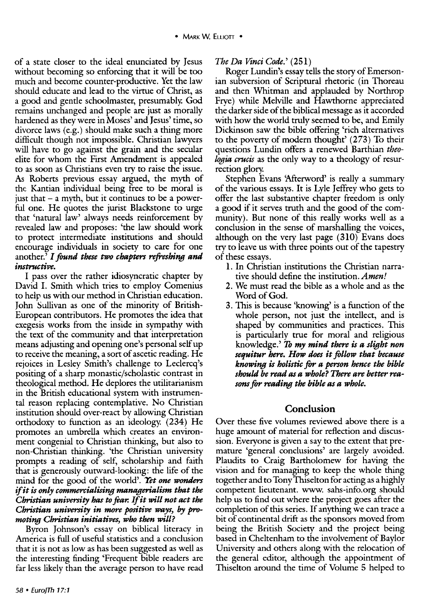of a state closer to the ideal enunciated by Jesus without becoming so enforcing that it will be too much and become counter-productive. Yet the law should educate and lead to the virtue of Christ, as a good and gentle schoolmaster, presumably. God remains unchanged and people are just as morally hardened as they were in Moses' and Jesus' time, so divorce laws (e.g.) should make such a thing more difficult though not impossible. Christian lawyers will have to go against the grain and the secular elite for whom the First Amendment is appealed to as soon as Christians even try to raise the issue. As Roberts previous essay argued, the myth of the Kantian individual being free to be moral is just that  $-$  a myth, but it continues to be a powerful one. He quotes the jurist Blackstone to urge that 'natural law' always needs reinforcement by revealed law and proposes: 'the law should work to protect intermediate institutions and should encourage individuals in society to care for one another.' *I found these* two *chapters refreshing and instructive.* 

I pass over the rather idiosyncratic chapter by David I. Smith which tries to employ Comenius to help us with our method in Christian education. John Sullivan as one of the minority of British-European contributors. He promotes the idea that exegesis works from the inside in sympathy with the text of the community and that interpretation means adjusting and opening one's personal self up to receive the meaning, a sort of ascetic reading. He rejoices in Lesley Smith's challenge to Leclercq's positing of a sharp monastic/scholastic contrast in theological method. He deplores the utilitarianism in the British educational system with instrumental reason replacing contemplative. No Christian institution should over-react by allowing Christian orthodoxy to function as an ideology. (234) He promotes an umbrella which creates an environment congenial to Christian thinking, but also to non-Christian thinking. 'the Christian university prompts a reading of self, scholarship and faith that is generously outward-looking: the life of the mind for the good of the world'. *Yet one wonders*  if *it is only commercialising managerial* ism *that the Christian university has to fiar.* If *it will not act the Christian university in more positive ways, by* pro*moting Christian initiatives, who then will?* 

Byron Johnson's essay on biblical literacy in America is full of useful statistics and a conclusion that it is not as low as has been suggested as well as the interesting finding 'Frequent bible readers are far less likely than the average person to have read *The Da Vinci Code.'* (251)

Roger Lundin's essay tells the story of Emersonian subversion of Scriptural rhetoric (in Thoreau and then Whitman and applauded by Northrop Frye) while Melville and Hawthorne appreciated the darker side of the biblical message as it accorded with how the world truly seemed to be, and Emily Dickinson saw the bible offering 'rich alternatives to the poverty of modern thought' (273) To their questions Lundin offers a renewed Barthian *theologia crucis* as the only way to a theology of resurrection glory.

Stephen Evans 'Afterword' is really a summary of the various essays. It is Lyle Jeffrey who gets to offer the last substantive chapter freedom is only a good if it serves truth and the good of the community). But none of this really works well as a conclusion in the sense of marshalling the voices, although on the very last page (310) Evans does try to leave us with three points out of the tapestry of these essays.

- 1. In Christian institutions the Christian narrative should define the institution. *Amen!*
- 2. We must read the bible as a whole and as the Word of God.
- 3. This is because 'knowing' is a function of the whole person, not just the intellect, and is shaped by communities and practices. This is particularly true for moral and religious knowledge.' *1b my mind there is a slight non sequitur here. How does it follow that because knowing is holistic* for *a person hence the bible should be* read *as a whole? There are better reasons* for *reading the bible as a whole.*

#### Conclusion

Over these five volumes reviewed above there is a huge amount of material for reflection and discussion. Everyone is given a say to the extent that premature 'general conclusions' are largely avoided. Plaudits to Craig Bartholomew for having the vision and for managing to keep the whole thing together and to Tony Thiselton for acting as a highly competent lieutenant. www. sahs-info.org should help us to find out where the project goes after the completion of this series. If anything we can trace a bit of continental drift as the sponsors moved from being the British Society and the project being based in Cheltenham to the involvement of Baylor University and others along with the relocation of the general editor, although the appointment of Thiselton around the time of Volume 5 helped to